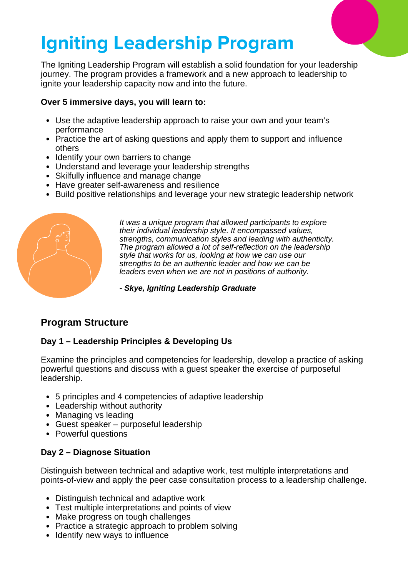# **Igniting Leadership Program**

The Igniting Leadership Program will establish a solid foundation for your leadership journey. The program provides a framework and a new approach to leadership to ignite your leadership capacity now and into the future.

#### **Over 5 immersive days, you will learn to:**

- Use the adaptive leadership approach to raise your own and your team's performance
- Practice the art of asking questions and apply them to support and influence others
- Identify your own barriers to change
- Understand and leverage your leadership strengths
- Skilfully influence and manage change
- Have greater self-awareness and resilience
- Build positive relationships and leverage your new strategic leadership network



*It was a unique program that allowed participants to explore their individual leadership style. It encompassed values, strengths, communication styles and leading with authenticity. The program allowed a lot of self-reflection on the leadership style that works for us, looking at how we can use our strengths to be an authentic leader and how we can be leaders even when we are not in positions of authority.*

*- Skye, Igniting Leadership Graduate*

## **Program Structure**

## **Day 1 – Leadership Principles & Developing Us**

Examine the principles and competencies for leadership, develop a practice of asking powerful questions and discuss with a guest speaker the exercise of purposeful leadership.

- 5 principles and 4 competencies of adaptive leadership
- Leadership without authority
- Managing vs leading
- Guest speaker purposeful leadership
- Powerful questions

## **Day 2 – Diagnose Situation**

Distinguish between technical and adaptive work, test multiple interpretations and points-of-view and apply the peer case consultation process to a leadership challenge.

- Distinguish technical and adaptive work
- Test multiple interpretations and points of view
- Make progress on tough challenges
- Practice a strategic approach to problem solving
- Identify new ways to influence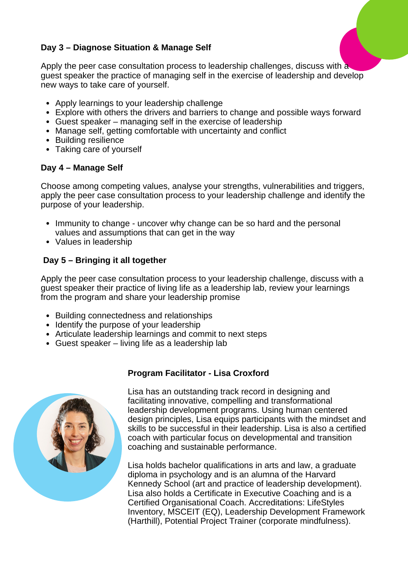#### **Day 3 – Diagnose Situation & Manage Self**

Apply the peer case consultation process to leadership challenges, discuss with a guest speaker the practice of managing self in the exercise of leadership and develop new ways to take care of yourself.

- Apply learnings to your leadership challenge
- Explore with others the drivers and barriers to change and possible ways forward
- Guest speaker managing self in the exercise of leadership
- Manage self, getting comfortable with uncertainty and conflict
- Building resilience
- Taking care of yourself

#### **Day 4 – Manage Self**

Choose among competing values, analyse your strengths, vulnerabilities and triggers, apply the peer case consultation process to your leadership challenge and identify the purpose of your leadership.

- Immunity to change uncover why change can be so hard and the personal values and assumptions that can get in the way
- Values in leadership

#### **Day 5 – Bringing it all together**

Apply the peer case consultation process to your leadership challenge, discuss with a guest speaker their practice of living life as a leadership lab, review your learnings from the program and share your leadership promise

- Building connectedness and relationships
- Identify the purpose of your leadership
- Articulate leadership learnings and commit to next steps
- Guest speaker living life as a leadership lab



## **Program Facilitator - Lisa Croxford**

Lisa has an outstanding track record in designing and facilitating innovative, compelling and transformational leadership development programs. Using human centered design principles, Lisa equips participants with the mindset and skills to be successful in their leadership. Lisa is also a certified coach with particular focus on developmental and transition coaching and sustainable performance.

Lisa holds bachelor qualifications in arts and law, a graduate diploma in psychology and is an alumna of the Harvard Kennedy School (art and practice of leadership development). Lisa also holds a Certificate in Executive Coaching and is a Certified Organisational Coach. Accreditations: LifeStyles Inventory, MSCEIT (EQ), Leadership Development Framework (Harthill), Potential Project Trainer (corporate mindfulness).